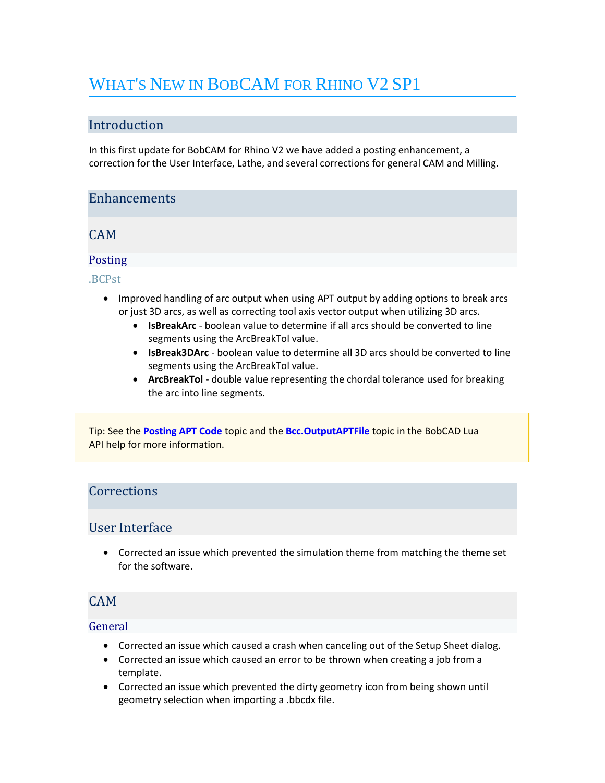# WHAT'S NEW IN BOBCAM FOR RHINO V2 SP1

# Introduction

In this first update for BobCAM for Rhino V2 we have added a posting enhancement, a correction for the User Interface, Lathe, and several corrections for general CAM and Milling.

## **Enhancements**

CAM

## Posting

.BCPst

- Improved handling of arc output when using APT output by adding options to break arcs or just 3D arcs, as well as correcting tool axis vector output when utilizing 3D arcs.
	- **IsBreakArc** boolean value to determine if all arcs should be converted to line segments using the ArcBreakTol value.
	- **IsBreak3DArc** boolean value to determine all 3D arcs should be converted to line segments using the ArcBreakTol value.
	- **ArcBreakTol** double value representing the chordal tolerance used for breaking the arc into line segments.

Tip: See the **[Posting APT Code](https://bobcad.com/components/webhelp/BobCADCAMV34/Content/Merge/CAM/Posting_G-Code/Posting_APT_Code.htm)** topic and the **[Bcc.OutputAPTFile](https://bobcad.com/components/webhelp/BC_Lua/BccOutputAPTFile.html)** topic in the BobCAD Lua API help for more information.

## **Corrections**

## User Interface

• Corrected an issue which prevented the simulation theme from matching the theme set for the software.

# CAM

### General

- Corrected an issue which caused a crash when canceling out of the Setup Sheet dialog.
- Corrected an issue which caused an error to be thrown when creating a job from a template.
- Corrected an issue which prevented the dirty geometry icon from being shown until geometry selection when importing a .bbcdx file.